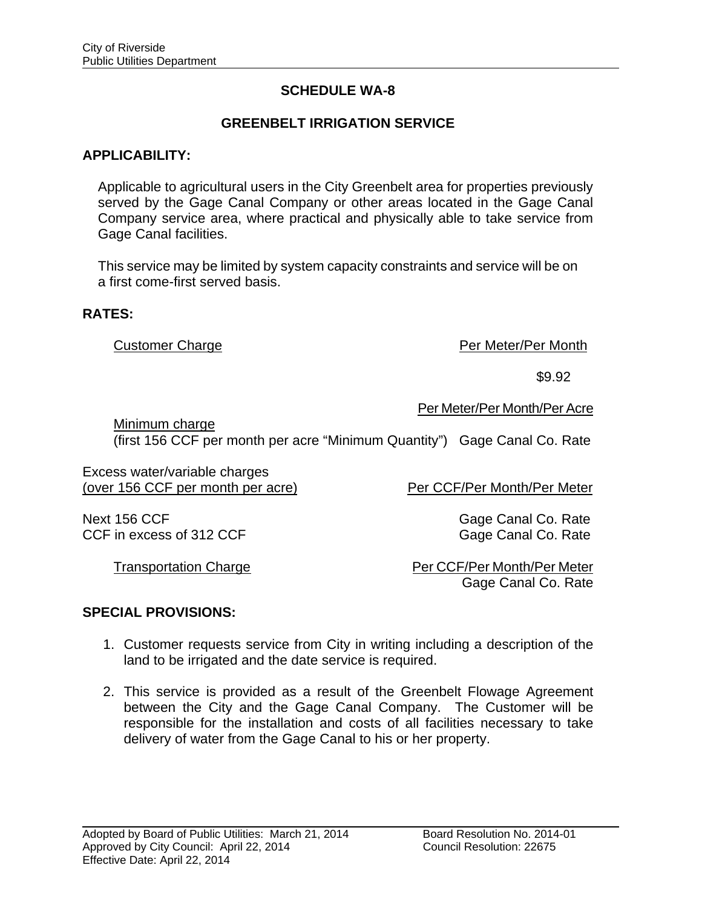# **SCHEDULE WA-8**

## **GREENBELT IRRIGATION SERVICE**

### **APPLICABILITY:**

 Applicable to agricultural users in the City Greenbelt area for properties previously served by the Gage Canal Company or other areas located in the Gage Canal Company service area, where practical and physically able to take service from Gage Canal facilities.

 This service may be limited by system capacity constraints and service will be on a first come-first served basis.

#### **RATES:**

Customer Charge **Per Meter/Per Month** 

 $$9.92$ 

Per Meter/Per Month/Per Acre

Minimum charge (first 156 CCF per month per acre "Minimum Quantity") Gage Canal Co. Rate

Excess water/variable charges (over 156 CCF per month per acre) Per CCF/Per Month/Per Meter

Next 156 CCF Gage Canal Co. Rate CCF in excess of 312 CCF Gage Canal Co. Rate

Transportation Charge **Per CCF/Per Month/Per Meter** Gage Canal Co. Rate

#### **SPECIAL PROVISIONS:**

- 1. Customer requests service from City in writing including a description of the land to be irrigated and the date service is required.
- 2. This service is provided as a result of the Greenbelt Flowage Agreement between the City and the Gage Canal Company. The Customer will be responsible for the installation and costs of all facilities necessary to take delivery of water from the Gage Canal to his or her property.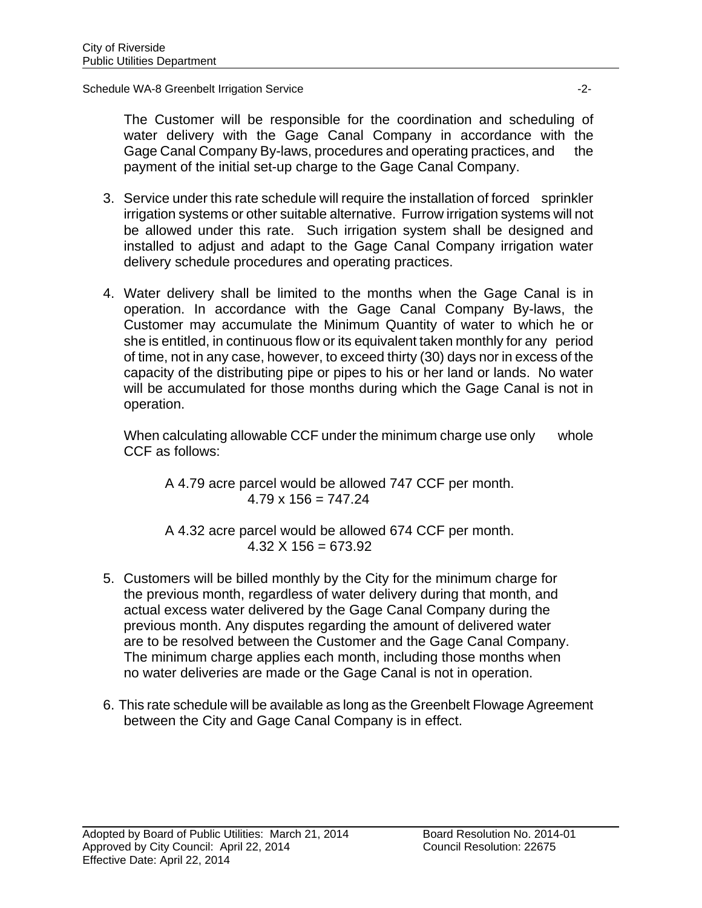Schedule WA-8 Greenbelt Irrigation Service -2-

The Customer will be responsible for the coordination and scheduling of water delivery with the Gage Canal Company in accordance with the Gage Canal Company By-laws, procedures and operating practices, and the payment of the initial set-up charge to the Gage Canal Company.

- 3. Service under this rate schedule will require the installation of forced sprinkler irrigation systems or other suitable alternative. Furrow irrigation systems will not be allowed under this rate. Such irrigation system shall be designed and installed to adjust and adapt to the Gage Canal Company irrigation water delivery schedule procedures and operating practices.
- 4. Water delivery shall be limited to the months when the Gage Canal is in operation. In accordance with the Gage Canal Company By-laws, the Customer may accumulate the Minimum Quantity of water to which he or she is entitled, in continuous flow or its equivalent taken monthly for any period of time, not in any case, however, to exceed thirty (30) days nor in excess of the capacity of the distributing pipe or pipes to his or her land or lands. No water will be accumulated for those months during which the Gage Canal is not in operation.

When calculating allowable CCF under the minimum charge use only whole CCF as follows:

A 4.79 acre parcel would be allowed 747 CCF per month.  $4.79 \times 156 = 747.24$ 

A 4.32 acre parcel would be allowed 674 CCF per month.  $4.32 \times 156 = 673.92$ 

- 5. Customers will be billed monthly by the City for the minimum charge for the previous month, regardless of water delivery during that month, and actual excess water delivered by the Gage Canal Company during the previous month. Any disputes regarding the amount of delivered water are to be resolved between the Customer and the Gage Canal Company. The minimum charge applies each month, including those months when no water deliveries are made or the Gage Canal is not in operation.
- 6. This rate schedule will be available as long as the Greenbelt Flowage Agreement between the City and Gage Canal Company is in effect.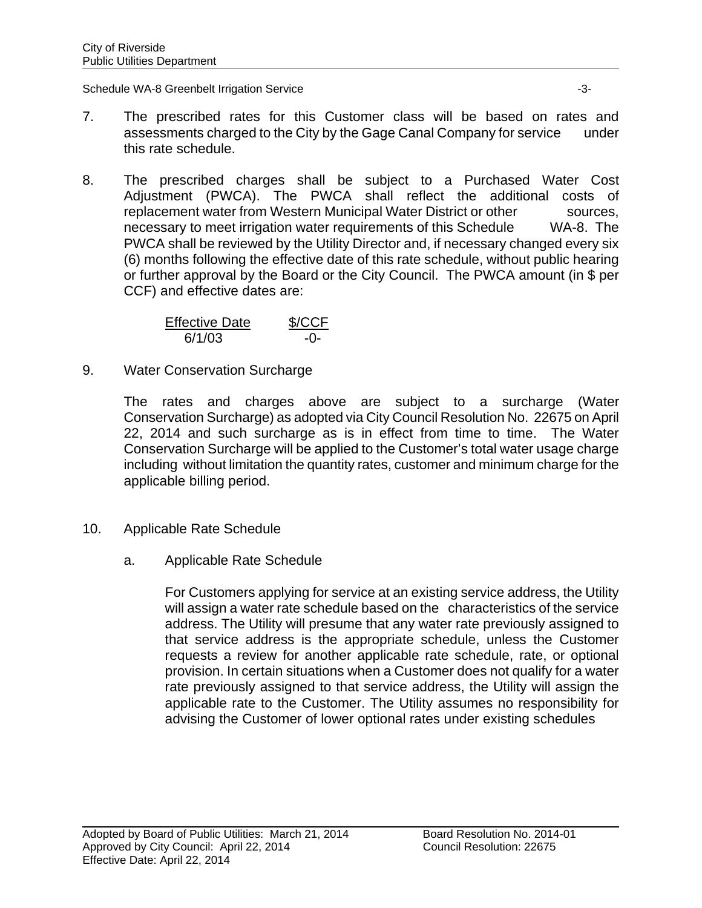Schedule WA-8 Greenbelt Irrigation Service -3-

- 7. The prescribed rates for this Customer class will be based on rates and assessments charged to the City by the Gage Canal Company for service under this rate schedule.
- 8. The prescribed charges shall be subject to a Purchased Water Cost Adjustment (PWCA). The PWCA shall reflect the additional costs of replacement water from Western Municipal Water District or other sources, necessary to meet irrigation water requirements of this Schedule WA-8. The PWCA shall be reviewed by the Utility Director and, if necessary changed every six (6) months following the effective date of this rate schedule, without public hearing or further approval by the Board or the City Council. The PWCA amount (in \$ per CCF) and effective dates are:

| <b>Effective Date</b> | \$/CCF |
|-----------------------|--------|
| 6/1/03                | $-()$  |

9. Water Conservation Surcharge

The rates and charges above are subject to a surcharge (Water Conservation Surcharge) as adopted via City Council Resolution No. 22675 on April 22, 2014 and such surcharge as is in effect from time to time. The Water Conservation Surcharge will be applied to the Customer's total water usage charge including without limitation the quantity rates, customer and minimum charge for the applicable billing period.

- 10. Applicable Rate Schedule
	- a. Applicable Rate Schedule

For Customers applying for service at an existing service address, the Utility will assign a water rate schedule based on the characteristics of the service address. The Utility will presume that any water rate previously assigned to that service address is the appropriate schedule, unless the Customer requests a review for another applicable rate schedule, rate, or optional provision. In certain situations when a Customer does not qualify for a water rate previously assigned to that service address, the Utility will assign the applicable rate to the Customer. The Utility assumes no responsibility for advising the Customer of lower optional rates under existing schedules